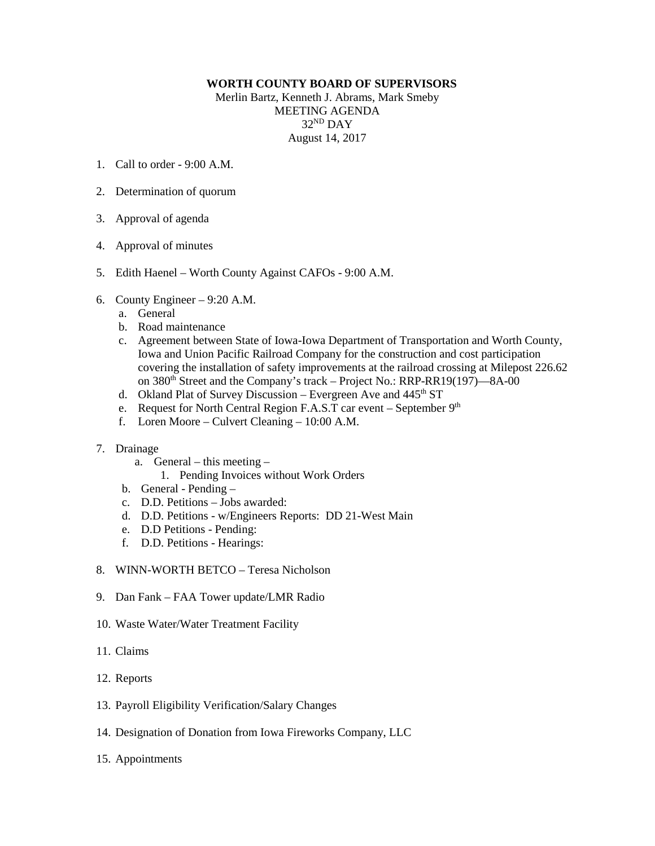## **WORTH COUNTY BOARD OF SUPERVISORS**

Merlin Bartz, Kenneth J. Abrams, Mark Smeby MEETING AGENDA 32ND DAY August 14, 2017

- 1. Call to order 9:00 A.M.
- 2. Determination of quorum
- 3. Approval of agenda
- 4. Approval of minutes
- 5. Edith Haenel Worth County Against CAFOs 9:00 A.M.
- 6. County Engineer 9:20 A.M.
	- a. General
	- b. Road maintenance
	- c. Agreement between State of Iowa-Iowa Department of Transportation and Worth County, Iowa and Union Pacific Railroad Company for the construction and cost participation covering the installation of safety improvements at the railroad crossing at Milepost 226.62 on 380<sup>th</sup> Street and the Company's track – Project No.: RRP-RR19(197)—8A-00
	- d. Okland Plat of Survey Discussion Evergreen Ave and 445<sup>th</sup> ST
	- e. Request for North Central Region F.A.S.T car event September  $9<sup>th</sup>$
	- f. Loren Moore Culvert Cleaning 10:00 A.M.

## 7. Drainage

- a. General this meeting
	- 1. Pending Invoices without Work Orders
- b. General Pending –
- c. D.D. Petitions Jobs awarded:
- d. D.D. Petitions w/Engineers Reports: DD 21-West Main
- e. D.D Petitions Pending:
- f. D.D. Petitions Hearings:
- 8. WINN-WORTH BETCO Teresa Nicholson
- 9. Dan Fank FAA Tower update/LMR Radio
- 10. Waste Water/Water Treatment Facility
- 11. Claims
- 12. Reports
- 13. Payroll Eligibility Verification/Salary Changes
- 14. Designation of Donation from Iowa Fireworks Company, LLC
- 15. Appointments